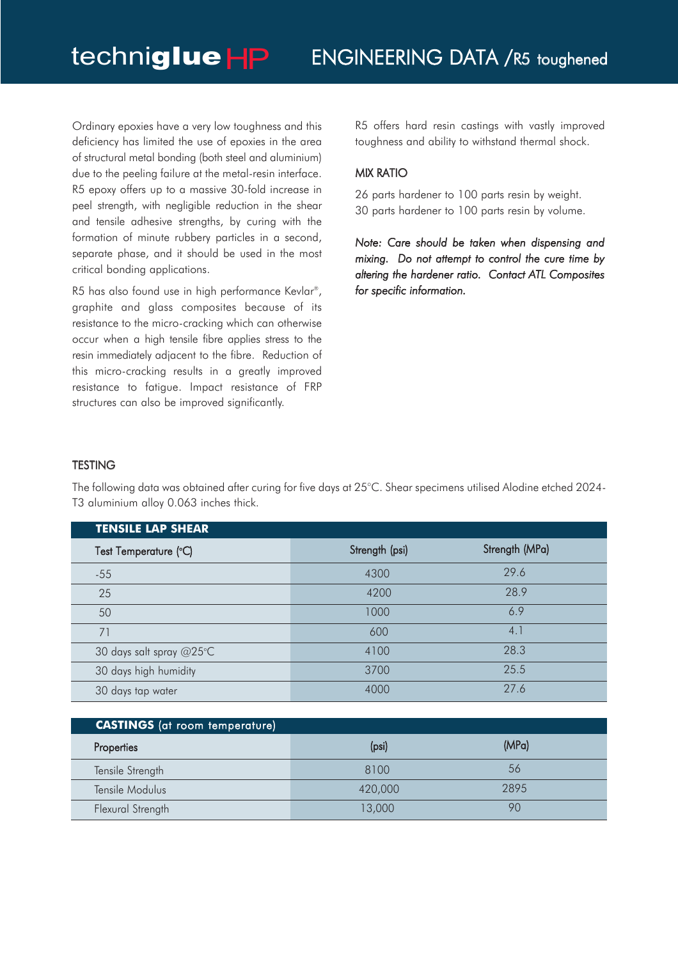Ordinary epoxies have a very low toughness and this deficiency has limited the use of epoxies in the area of structural metal bonding (both steel and aluminium) due to the peeling failure at the metal-resin interface. R5 epoxy offers up to a massive 30-fold increase in peel strength, with negligible reduction in the shear and tensile adhesive strengths, by curing with the formation of minute rubbery particles in a second, separate phase, and it should be used in the most critical bonding applications.

R5 has also found use in high performance Kevlar®, graphite and glass composites because of its resistance to the micro-cracking which can otherwise occur when a high tensile fibre applies stress to the resin immediately adjacent to the fibre. Reduction of this micro-cracking results in a greatly improved resistance to fatigue. Impact resistance of FRP structures can also be improved significantly.

R5 offers hard resin castings with vastly improved toughness and ability to withstand thermal shock.

## MIX RATIO

26 parts hardener to 100 parts resin by weight. 30 parts hardener to 100 parts resin by volume.

*Note: Care should be taken when dispensing and mixing. Do not attempt to control the cure time by altering the hardener ratio. Contact ATL Composites for specific information.*

## **TESTING**

The following data was obtained after curing for five days at 25°C. Shear specimens utilised Alodine etched 2024- T3 aluminium alloy 0.063 inches thick.

| <b>TENSILE LAP SHEAR</b> |                |                |
|--------------------------|----------------|----------------|
| Test Temperature (°C)    | Strength (psi) | Strength (MPa) |
| $-55$                    | 4300           | 29.6           |
| 25                       | 4200           | 28.9           |
| 50                       | 1000           | 6.9            |
| 71                       | 600            | 4.1            |
| 30 days salt spray @25°C | 4100           | 28.3           |
| 30 days high humidity    | 3700           | 25.5           |
| 30 days tap water        | 4000           | 27.6           |

| <b>CASTINGS</b> (at room temperature) |         |       |  |
|---------------------------------------|---------|-------|--|
| Properties                            | (psi)   | (MPa) |  |
| Tensile Strength                      | 8100    | 56    |  |
| Tensile Modulus                       | 420,000 | 2895  |  |
| Flexural Strength                     | 13,000  | 90    |  |